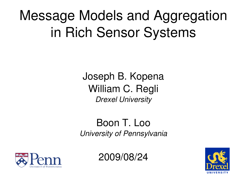#### Message Models and Aggregation in Rich Sensor Systems

Joseph B. Kopena William C. Regli *Drexel University*

#### Boon T. Loo *University of Pennsylvania*



2009/08/24

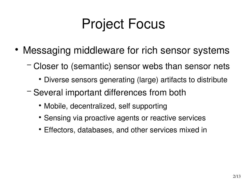## Project Focus

- Messaging middleware for rich sensor systems
	- − Closer to (semantic) sensor webs than sensor nets
		- Diverse sensors generating (large) artifacts to distribute
	- − Several important differences from both
		- Mobile, decentralized, self supporting
		- Sensing via proactive agents or reactive services
		- Effectors, databases, and other services mixed in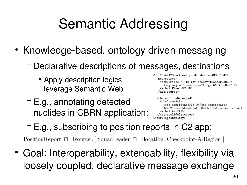# Semantic Addressing

- Knowledge-based, ontology driven messaging
	- − Declarative descriptions of messages, destinations
		- Apply description logics, leverage Semantic Web
	- − E.g., annotating detected nuclides in CBRN application:

```
<cbr2:N4242Spectometry rdf:about="#MSG1134">
  <sub>msg</sub>:source</sub>
    <cbr2:Fixed-FT-IR rdf:about="#Sensor03NG">
      <msg:org_rdf:resource="&orgs:#NEAir-Haz" />
    </cbr2:Fixed-FT-IR>
  </msg:source>
```

```
<cbr:nuclideDetected>
    <cbr2: Am-241>
      <cbr:confidence>93.0</cbr:confidence>
      <cbr2:concentration>0.002</cbr2:concentration>
    \langle/cbr2:Am-241>
  </cbr:nuclideDetected>
</cbr2:Spectometry>
```
− E.g., subscribing to position reports in C2 app:

PositionReport  $\Box$  3 source [ SquadLeader  $\Box$  3 location Checkpoint-A-Region ]

 Goal: Interoperability, extendability, flexibility via loosely coupled, declarative message exchange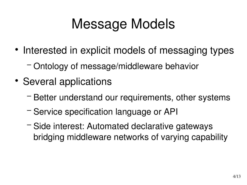## Message Models

- Interested in explicit models of messaging types
	- − Ontology of message/middleware behavior
- Several applications
	- − Better understand our requirements, other systems
	- − Service specification language or API
	- − Side interest: Automated declarative gateways bridging middleware networks of varying capability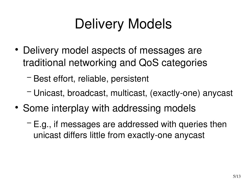## Delivery Models

- Delivery model aspects of messages are traditional networking and QoS categories
	- − Best effort, reliable, persistent
	- − Unicast, broadcast, multicast, (exactly-one) anycast
- Some interplay with addressing models
	- − E.g., if messages are addressed with queries then unicast differs little from exactly-one anycast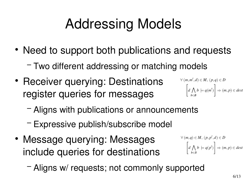# Addressing Models

- Need to support both publications and requests
	- − Two different addressing or matching models
- Receiver querying: Destinations register queries for messages

$$
\forall (m, m', d) \in M, (p, q) \in D
$$

$$
\left[ d \bigwedge_{b \in B} b \models q(m') \right] \Rightarrow (m, p) \in dest
$$

- − Aligns with publications or announcements
- − Expressive publish/subscribe model
- Message querying: Messages include queries for destinations

 $\forall (m,q) \in M, (p,p',d) \in D$  $\left[ d \bigwedge_{b \in B} b \models q(p') \right] \Rightarrow (m, p) \in dest$ 

− Aligns w/ requests; not commonly supported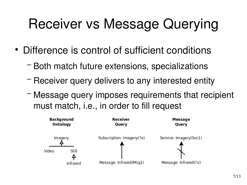## Receiver vs Message Querying

- Difference is control of sufficient conditions
	- − Both match future extensions, specializations
	- − Receiver query delivers to any interested entity
	- − Message query imposes requirements that recipient must match, i.e., in order to fill request

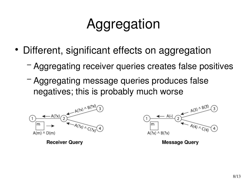# Aggregation

- Different, significant effects on aggregation
	- − Aggregating receiver queries creates false positives
	- − Aggregating message queries produces false negatives; this is probably much worse

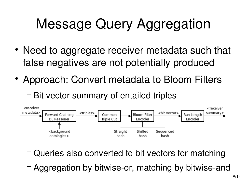# Message Query Aggregation

- Need to aggregate receiver metadata such that false negatives are not potentially produced
- Approach: Convert metadata to Bloom Filters
	- − Bit vector summary of entailed triples



- − Queries also converted to bit vectors for matching
- − Aggregation by bitwise-or, matching by bitwise-and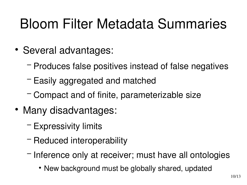#### Bloom Filter Metadata Summaries

- Several advantages:
	- − Produces false positives instead of false negatives
	- − Easily aggregated and matched
	- − Compact and of finite, parameterizable size
- Many disadvantages:
	- − Expressivity limits
	- − Reduced interoperability
	- − Inference only at receiver; must have all ontologies
		- New background must be globally shared, updated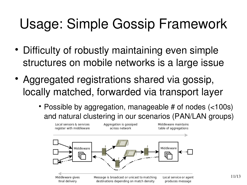# Usage: Simple Gossip Framework

- Difficulty of robustly maintaining even simple structures on mobile networks is a large issue
- Aggregated registrations shared via gossip, locally matched, forwarded via transport layer
	- Possible by aggregation, manageable # of nodes (<100s) and natural clustering in our scenarios (PAN/LAN groups)

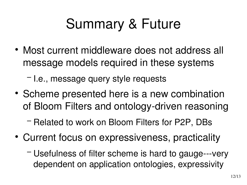## Summary & Future

• Most current middleware does not address all message models required in these systems

− I.e., message query style requests

- Scheme presented here is a new combination of Bloom Filters and ontology-driven reasoning
	- − Related to work on Bloom Filters for P2P, DBs
- Current focus on expressiveness, practicality
	- − Usefulness of filter scheme is hard to gauge---very dependent on application ontologies, expressivity